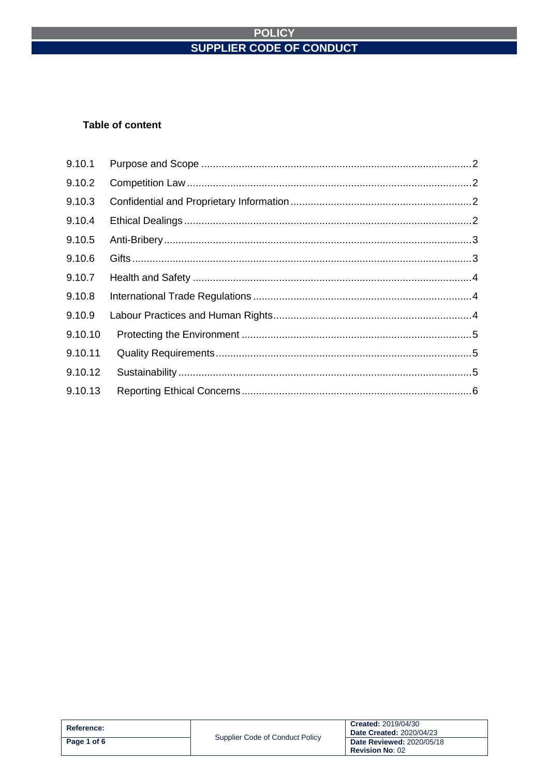#### **Table of content**

| 9.10.1  |  |
|---------|--|
| 9.10.2  |  |
| 9.10.3  |  |
| 9.10.4  |  |
| 9.10.5  |  |
| 9.10.6  |  |
| 9.10.7  |  |
| 9.10.8  |  |
| 9.10.9  |  |
| 9.10.10 |  |
| 9.10.11 |  |
| 9.10.12 |  |
| 9.10.13 |  |

| Reference:  | Supplier Code of Conduct Policy | <b>Created: 2019/04/30</b><br><b>Date Created: 2020/04/23</b> |
|-------------|---------------------------------|---------------------------------------------------------------|
| Page 1 of 6 |                                 | <b>Date Reviewed: 2020/05/18</b><br><b>Revision No: 02</b>    |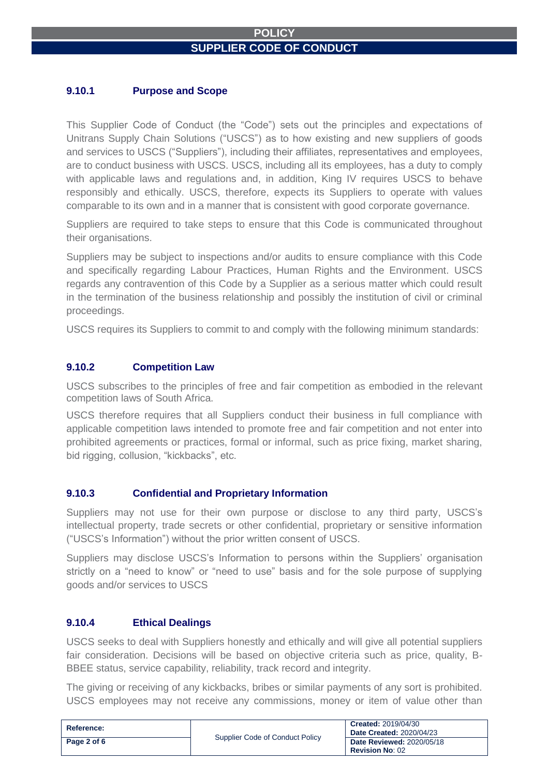## <span id="page-1-0"></span>**9.10.1 Purpose and Scope**

This Supplier Code of Conduct (the "Code") sets out the principles and expectations of Unitrans Supply Chain Solutions ("USCS") as to how existing and new suppliers of goods and services to USCS ("Suppliers"), including their affiliates, representatives and employees, are to conduct business with USCS. USCS, including all its employees, has a duty to comply with applicable laws and regulations and, in addition, King IV requires USCS to behave responsibly and ethically. USCS, therefore, expects its Suppliers to operate with values comparable to its own and in a manner that is consistent with good corporate governance.

Suppliers are required to take steps to ensure that this Code is communicated throughout their organisations.

Suppliers may be subject to inspections and/or audits to ensure compliance with this Code and specifically regarding Labour Practices, Human Rights and the Environment. USCS regards any contravention of this Code by a Supplier as a serious matter which could result in the termination of the business relationship and possibly the institution of civil or criminal proceedings.

USCS requires its Suppliers to commit to and comply with the following minimum standards:

#### <span id="page-1-1"></span>**9.10.2 Competition Law**

USCS subscribes to the principles of free and fair competition as embodied in the relevant competition laws of South Africa.

USCS therefore requires that all Suppliers conduct their business in full compliance with applicable competition laws intended to promote free and fair competition and not enter into prohibited agreements or practices, formal or informal, such as price fixing, market sharing, bid rigging, collusion, "kickbacks", etc.

#### <span id="page-1-2"></span>**9.10.3 Confidential and Proprietary Information**

Suppliers may not use for their own purpose or disclose to any third party, USCS's intellectual property, trade secrets or other confidential, proprietary or sensitive information ("USCS's Information") without the prior written consent of USCS.

Suppliers may disclose USCS's Information to persons within the Suppliers' organisation strictly on a "need to know" or "need to use" basis and for the sole purpose of supplying goods and/or services to USCS

### <span id="page-1-3"></span>**9.10.4 Ethical Dealings**

USCS seeks to deal with Suppliers honestly and ethically and will give all potential suppliers fair consideration. Decisions will be based on objective criteria such as price, quality, B-BBEE status, service capability, reliability, track record and integrity.

The giving or receiving of any kickbacks, bribes or similar payments of any sort is prohibited. USCS employees may not receive any commissions, money or item of value other than

| <b>Reference:</b> | Supplier Code of Conduct Policy | <b>Created: 2019/04/30</b><br><b>Date Created: 2020/04/23</b> |
|-------------------|---------------------------------|---------------------------------------------------------------|
| Page 2 of 6       |                                 | <b>Date Reviewed: 2020/05/18</b><br><b>Revision No: 02</b>    |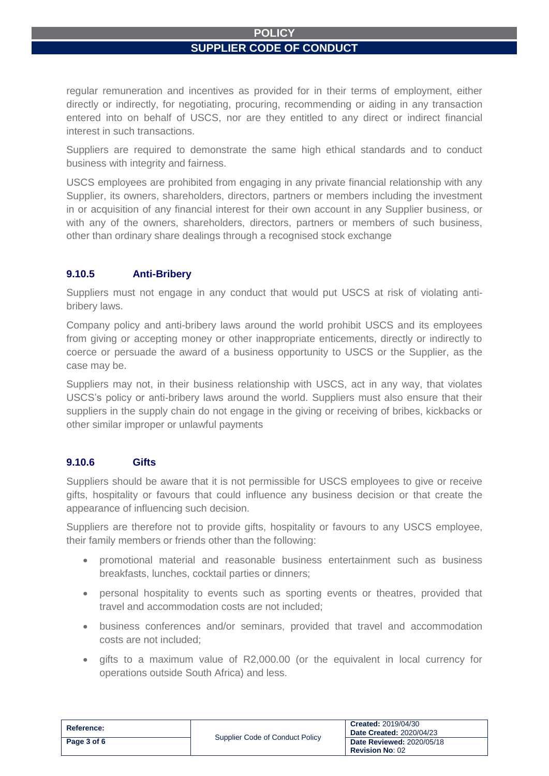regular remuneration and incentives as provided for in their terms of employment, either directly or indirectly, for negotiating, procuring, recommending or aiding in any transaction entered into on behalf of USCS, nor are they entitled to any direct or indirect financial interest in such transactions.

Suppliers are required to demonstrate the same high ethical standards and to conduct business with integrity and fairness.

USCS employees are prohibited from engaging in any private financial relationship with any Supplier, its owners, shareholders, directors, partners or members including the investment in or acquisition of any financial interest for their own account in any Supplier business, or with any of the owners, shareholders, directors, partners or members of such business, other than ordinary share dealings through a recognised stock exchange

# <span id="page-2-0"></span>**9.10.5 Anti-Bribery**

Suppliers must not engage in any conduct that would put USCS at risk of violating antibribery laws.

Company policy and anti-bribery laws around the world prohibit USCS and its employees from giving or accepting money or other inappropriate enticements, directly or indirectly to coerce or persuade the award of a business opportunity to USCS or the Supplier, as the case may be.

Suppliers may not, in their business relationship with USCS, act in any way, that violates USCS's policy or anti-bribery laws around the world. Suppliers must also ensure that their suppliers in the supply chain do not engage in the giving or receiving of bribes, kickbacks or other similar improper or unlawful payments

# <span id="page-2-1"></span>**9.10.6 Gifts**

Suppliers should be aware that it is not permissible for USCS employees to give or receive gifts, hospitality or favours that could influence any business decision or that create the appearance of influencing such decision.

Suppliers are therefore not to provide gifts, hospitality or favours to any USCS employee, their family members or friends other than the following:

- promotional material and reasonable business entertainment such as business breakfasts, lunches, cocktail parties or dinners;
- personal hospitality to events such as sporting events or theatres, provided that travel and accommodation costs are not included;
- business conferences and/or seminars, provided that travel and accommodation costs are not included;
- gifts to a maximum value of R2,000.00 (or the equivalent in local currency for operations outside South Africa) and less.

| Reference:  | Supplier Code of Conduct Policy | <b>Created: 2019/04/30</b><br><b>Date Created: 2020/04/23</b> |
|-------------|---------------------------------|---------------------------------------------------------------|
| Page 3 of 6 |                                 | <b>Date Reviewed: 2020/05/18</b><br><b>Revision No: 02</b>    |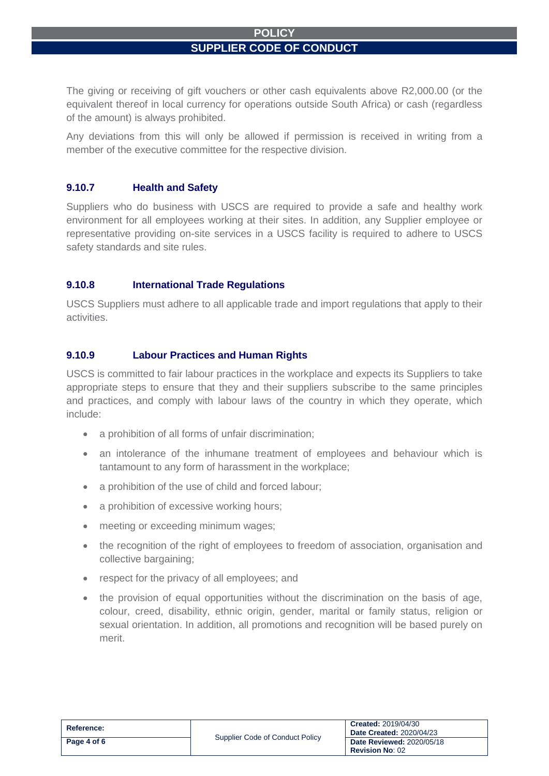The giving or receiving of gift vouchers or other cash equivalents above R2,000.00 (or the equivalent thereof in local currency for operations outside South Africa) or cash (regardless of the amount) is always prohibited.

Any deviations from this will only be allowed if permission is received in writing from a member of the executive committee for the respective division.

# <span id="page-3-0"></span>**9.10.7 Health and Safety**

Suppliers who do business with USCS are required to provide a safe and healthy work environment for all employees working at their sites. In addition, any Supplier employee or representative providing on-site services in a USCS facility is required to adhere to USCS safety standards and site rules.

#### <span id="page-3-1"></span>**9.10.8 International Trade Regulations**

USCS Suppliers must adhere to all applicable trade and import regulations that apply to their activities.

# <span id="page-3-2"></span>**9.10.9 Labour Practices and Human Rights**

USCS is committed to fair labour practices in the workplace and expects its Suppliers to take appropriate steps to ensure that they and their suppliers subscribe to the same principles and practices, and comply with labour laws of the country in which they operate, which include:

- a prohibition of all forms of unfair discrimination;
- an intolerance of the inhumane treatment of employees and behaviour which is tantamount to any form of harassment in the workplace;
- a prohibition of the use of child and forced labour:
- a prohibition of excessive working hours;
- meeting or exceeding minimum wages;
- the recognition of the right of employees to freedom of association, organisation and collective bargaining;
- respect for the privacy of all employees; and
- the provision of equal opportunities without the discrimination on the basis of age, colour, creed, disability, ethnic origin, gender, marital or family status, religion or sexual orientation. In addition, all promotions and recognition will be based purely on merit.

| Reference:  | Supplier Code of Conduct Policy | <b>Created: 2019/04/30</b><br><b>Date Created: 2020/04/23</b> |
|-------------|---------------------------------|---------------------------------------------------------------|
| Page 4 of 6 |                                 | <b>Date Reviewed: 2020/05/18</b><br><b>Revision No: 02</b>    |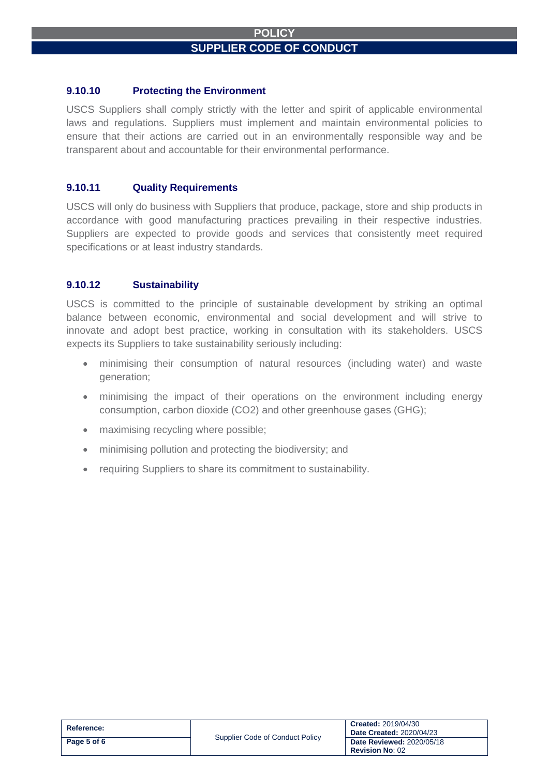#### <span id="page-4-0"></span>**9.10.10 Protecting the Environment**

USCS Suppliers shall comply strictly with the letter and spirit of applicable environmental laws and regulations. Suppliers must implement and maintain environmental policies to ensure that their actions are carried out in an environmentally responsible way and be transparent about and accountable for their environmental performance.

#### <span id="page-4-1"></span>**9.10.11 Quality Requirements**

USCS will only do business with Suppliers that produce, package, store and ship products in accordance with good manufacturing practices prevailing in their respective industries. Suppliers are expected to provide goods and services that consistently meet required specifications or at least industry standards.

#### <span id="page-4-2"></span>**9.10.12 Sustainability**

USCS is committed to the principle of sustainable development by striking an optimal balance between economic, environmental and social development and will strive to innovate and adopt best practice, working in consultation with its stakeholders. USCS expects its Suppliers to take sustainability seriously including:

- minimising their consumption of natural resources (including water) and waste generation;
- minimising the impact of their operations on the environment including energy consumption, carbon dioxide (CO2) and other greenhouse gases (GHG);
- maximising recycling where possible;
- minimising pollution and protecting the biodiversity; and
- <span id="page-4-3"></span>• requiring Suppliers to share its commitment to sustainability.

| <b>Reference:</b> |                                 | <b>Created: 2019/04/30</b><br><b>Date Created: 2020/04/23</b> |
|-------------------|---------------------------------|---------------------------------------------------------------|
| Page 5 of 6       | Supplier Code of Conduct Policy | <b>Date Reviewed: 2020/05/18</b><br><b>Revision No: 02</b>    |